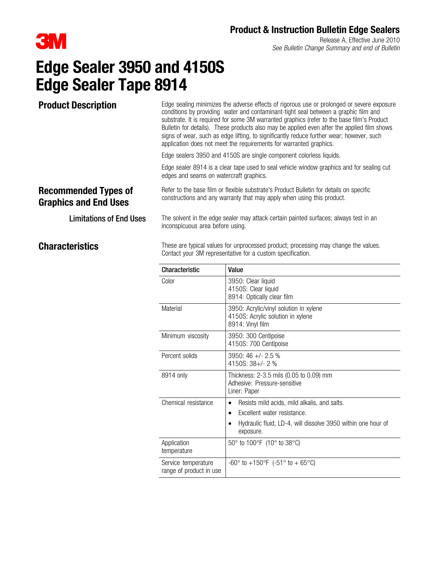

Release A, Effective June 2010 See Bulletin Change Summary and end of Bulletin

# Edge Sealer 3950 and 4150S Edge Sealer Tape 8914

Product Description Edge sealing minimizes the adverse effects of rigorous use or prolonged or severe exposure conditions by providing water and contaminant-tight seal between a graphic film and substrate. It is required for some 3M warranted graphics (refer to the base film's Product Bulletin for details). These products also may be applied even after the applied film shows signs of wear, such as edge lifting, to significantly reduce further wear; however, such application does not meet the requirements for warranted graphics.

Edge sealers 3950 and 4150S are single component colorless liquids.

Edge sealer 8914 is a clear tape used to seal vehicle window graphics and for sealing cut edges and seams on watercraft graphics.

### Recommended Types of Graphics and End Uses

Refer to the base film or flexible substrate's Product Bulletin for details on specific constructions and any warranty that may apply when using this product.

Limitations of End Uses The solvent in the edge sealer may attack certain painted surfaces; always test in an inconspicuous area before using.

**Characteristics** These are typical values for unprocessed product; processing may change the values. Contact your 3M representative for a custom specification.

| Characteristic                                 | Value                                                                                                 |
|------------------------------------------------|-------------------------------------------------------------------------------------------------------|
| Color                                          | 3950: Clear liquid<br>4150S: Clear liquid<br>8914: Optically clear film                               |
| Material                                       | 3950: Acrylic/vinyl solution in xylene<br>4150S: Acrylic solution in xylene<br>8914: Vinyl film       |
| Minimum viscosity                              | 3950: 300 Centipoise<br>4150S: 700 Centipoise                                                         |
| Percent solids                                 | $3950:46 +/- 2.5$ %<br>$4150S: 38 +/- 2$ %                                                            |
| 8914 only                                      | Thickness: 2-3.5 mils (0.05 to 0.09) mm<br>Adhesive: Pressure-sensitive<br>Liner: Paper               |
| Chemical resistance                            | Resists mild acids, mild alkalis, and salts.<br>$\bullet$<br>Excellent water resistance.<br>$\bullet$ |
|                                                | Hydraulic fluid, LD-4, will dissolve 3950 within one hour of<br>exposure.                             |
| Application<br>temperature                     | 50 $\degree$ to 100 $\degree$ F (10 $\degree$ to 38 $\degree$ C)                                      |
| Service temperature<br>range of product in use | $-60^{\circ}$ to $+150^{\circ}$ F ( $-51^{\circ}$ to $+65^{\circ}$ C)                                 |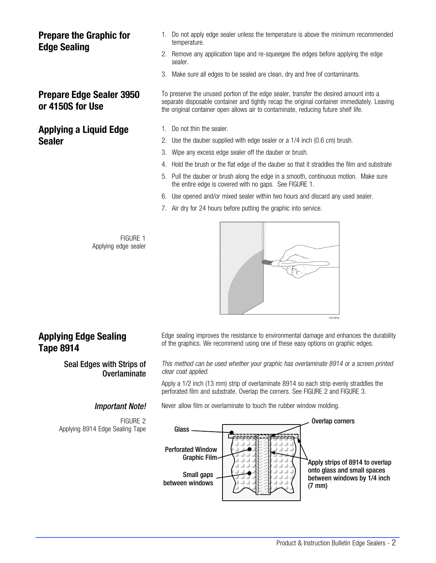### Prepare the Graphic for Edge Sealing

### Prepare Edge Sealer 3950 or 4150S for Use

### Applying a Liquid Edge Sealer

- 1. Do not apply edge sealer unless the temperature is above the minimum recommended temperature.
- 2. Remove any application tape and re-squeegee the edges before applying the edge sealer.
- 3. Make sure all edges to be sealed are clean, dry and free of contaminants.

To preserve the unused portion of the edge sealer, transfer the desired amount into a separate disposable container and tightly recap the original container immediately. Leaving the original container open allows air to contaminate, reducing future shelf life.

- 1. Do not thin the sealer.
- 2. Use the dauber supplied with edge sealer or a 1/4 inch (0.6 cm) brush.
- 3. Wipe any excess edge sealer off the dauber or brush.
- 4. Hold the brush or the flat edge of the dauber so that it straddles the film and substrate
- 5. Pull the dauber or brush along the edge in a smooth, continuous motion. Make sure the entire edge is covered with no gaps. See FIGURE 1.
- 6. Use opened and/or mixed sealer within two hours and discard any used sealer.
- 7. Air dry for 24 hours before putting the graphic into service.

FIGURE 1 Applying edge sealer



# Applying Edge Sealing Tape 8914

#### Seal Edges with Strips of Overlaminate

FIGURE 2 Applying 8914 Edge Sealing Tape Edge sealing improves the resistance to environmental damage and enhances the durability of the graphics. We recommend using one of these easy options on graphic edges.

This method can be used whether your graphic has overlaminate 8914 or a screen printed clear coat applied.

Apply a 1/2 inch (13 mm) strip of overlaminate 8914 so each strip evenly straddles the perforated film and substrate. Overlap the corners. See FIGURE 2 and [FIGURE 3](#page-2-0).

**Important Note!** Never allow film or overlaminate to touch the rubber window molding.